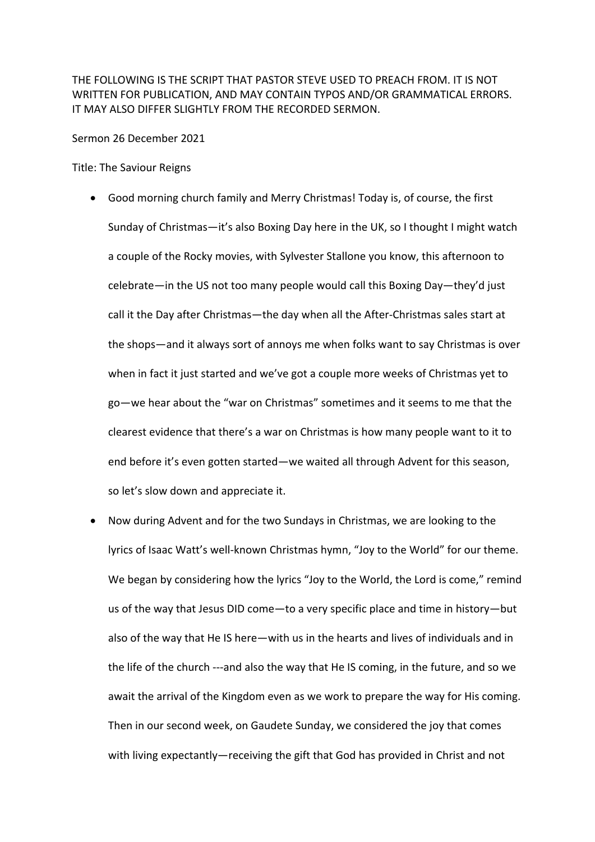THE FOLLOWING IS THE SCRIPT THAT PASTOR STEVE USED TO PREACH FROM. IT IS NOT WRITTEN FOR PUBLICATION, AND MAY CONTAIN TYPOS AND/OR GRAMMATICAL ERRORS. IT MAY ALSO DIFFER SLIGHTLY FROM THE RECORDED SERMON.

Sermon 26 December 2021

Title: The Saviour Reigns

- Good morning church family and Merry Christmas! Today is, of course, the first Sunday of Christmas—it's also Boxing Day here in the UK, so I thought I might watch a couple of the Rocky movies, with Sylvester Stallone you know, this afternoon to celebrate—in the US not too many people would call this Boxing Day—they'd just call it the Day after Christmas—the day when all the After-Christmas sales start at the shops—and it always sort of annoys me when folks want to say Christmas is over when in fact it just started and we've got a couple more weeks of Christmas yet to go—we hear about the "war on Christmas" sometimes and it seems to me that the clearest evidence that there's a war on Christmas is how many people want to it to end before it's even gotten started—we waited all through Advent for this season, so let's slow down and appreciate it.
- Now during Advent and for the two Sundays in Christmas, we are looking to the lyrics of Isaac Watt's well-known Christmas hymn, "Joy to the World" for our theme. We began by considering how the lyrics "Joy to the World, the Lord is come," remind us of the way that Jesus DID come—to a very specific place and time in history—but also of the way that He IS here—with us in the hearts and lives of individuals and in the life of the church ---and also the way that He IS coming, in the future, and so we await the arrival of the Kingdom even as we work to prepare the way for His coming. Then in our second week, on Gaudete Sunday, we considered the joy that comes with living expectantly—receiving the gift that God has provided in Christ and not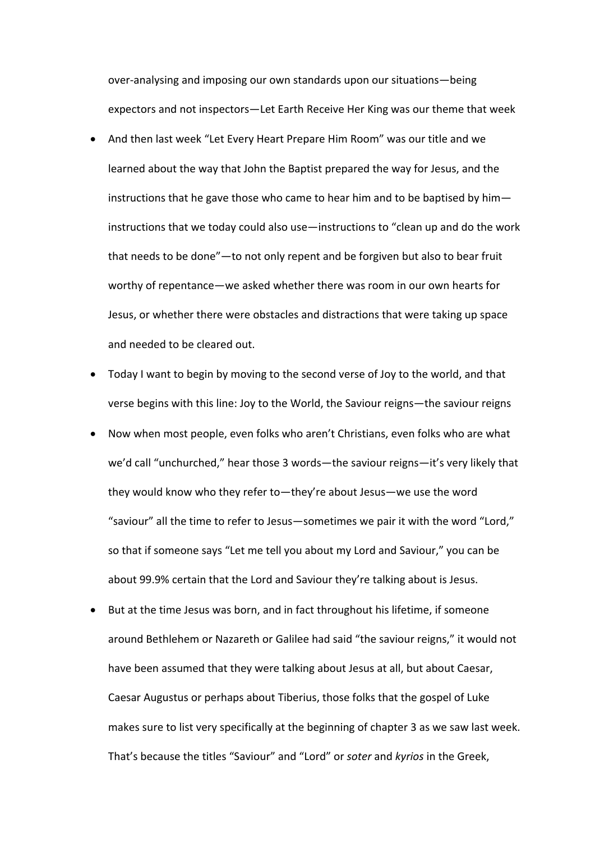over-analysing and imposing our own standards upon our situations—being expectors and not inspectors—Let Earth Receive Her King was our theme that week

- And then last week "Let Every Heart Prepare Him Room" was our title and we learned about the way that John the Baptist prepared the way for Jesus, and the instructions that he gave those who came to hear him and to be baptised by him instructions that we today could also use—instructions to "clean up and do the work that needs to be done"—to not only repent and be forgiven but also to bear fruit worthy of repentance—we asked whether there was room in our own hearts for Jesus, or whether there were obstacles and distractions that were taking up space and needed to be cleared out.
- Today I want to begin by moving to the second verse of Joy to the world, and that verse begins with this line: Joy to the World, the Saviour reigns—the saviour reigns
- Now when most people, even folks who aren't Christians, even folks who are what we'd call "unchurched," hear those 3 words—the saviour reigns—it's very likely that they would know who they refer to—they're about Jesus—we use the word "saviour" all the time to refer to Jesus—sometimes we pair it with the word "Lord," so that if someone says "Let me tell you about my Lord and Saviour," you can be about 99.9% certain that the Lord and Saviour they're talking about is Jesus.
- But at the time Jesus was born, and in fact throughout his lifetime, if someone around Bethlehem or Nazareth or Galilee had said "the saviour reigns," it would not have been assumed that they were talking about Jesus at all, but about Caesar, Caesar Augustus or perhaps about Tiberius, those folks that the gospel of Luke makes sure to list very specifically at the beginning of chapter 3 as we saw last week. That's because the titles "Saviour" and "Lord" or *soter* and *kyrios* in the Greek,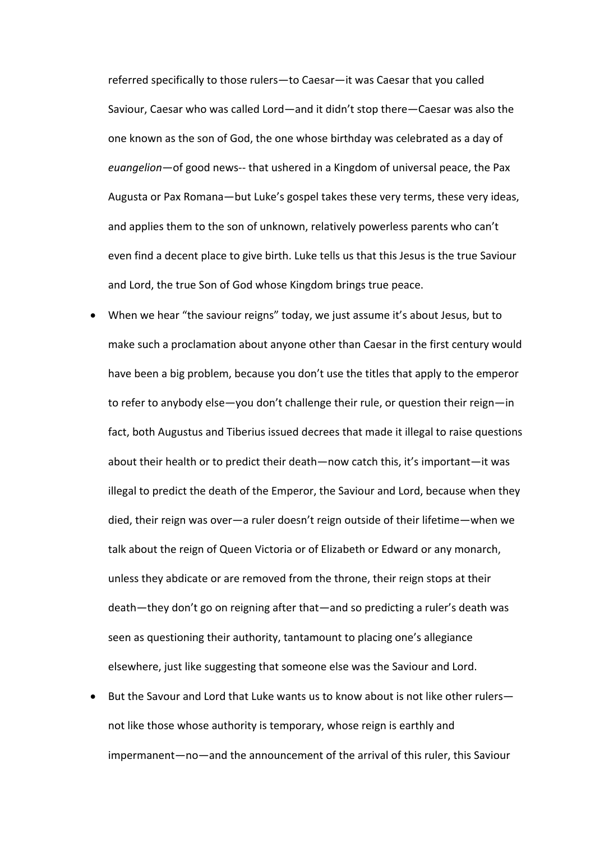referred specifically to those rulers—to Caesar—it was Caesar that you called Saviour, Caesar who was called Lord—and it didn't stop there—Caesar was also the one known as the son of God, the one whose birthday was celebrated as a day of *euangelion*—of good news-- that ushered in a Kingdom of universal peace, the Pax Augusta or Pax Romana—but Luke's gospel takes these very terms, these very ideas, and applies them to the son of unknown, relatively powerless parents who can't even find a decent place to give birth. Luke tells us that this Jesus is the true Saviour and Lord, the true Son of God whose Kingdom brings true peace.

- When we hear "the saviour reigns" today, we just assume it's about Jesus, but to make such a proclamation about anyone other than Caesar in the first century would have been a big problem, because you don't use the titles that apply to the emperor to refer to anybody else—you don't challenge their rule, or question their reign—in fact, both Augustus and Tiberius issued decrees that made it illegal to raise questions about their health or to predict their death—now catch this, it's important—it was illegal to predict the death of the Emperor, the Saviour and Lord, because when they died, their reign was over—a ruler doesn't reign outside of their lifetime—when we talk about the reign of Queen Victoria or of Elizabeth or Edward or any monarch, unless they abdicate or are removed from the throne, their reign stops at their death—they don't go on reigning after that—and so predicting a ruler's death was seen as questioning their authority, tantamount to placing one's allegiance elsewhere, just like suggesting that someone else was the Saviour and Lord.
- But the Savour and Lord that Luke wants us to know about is not like other rulers not like those whose authority is temporary, whose reign is earthly and impermanent—no—and the announcement of the arrival of this ruler, this Saviour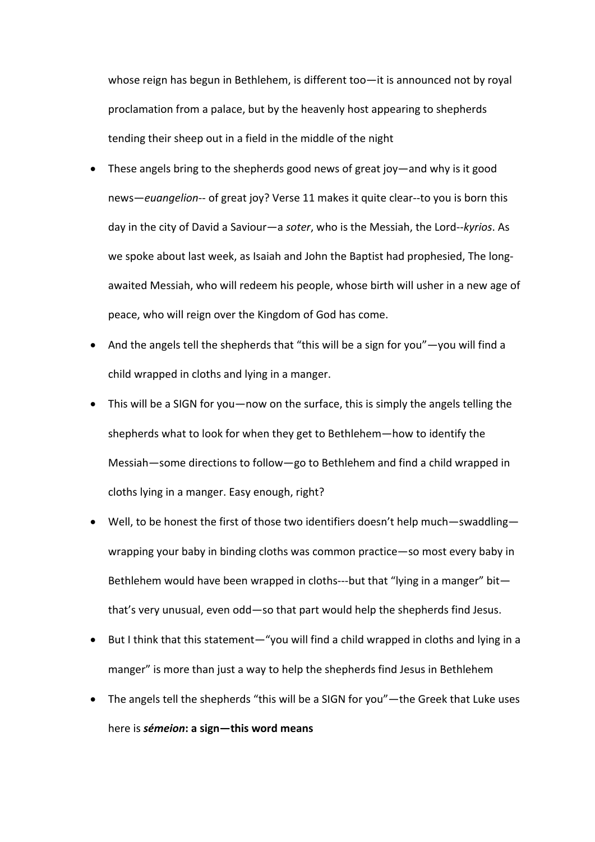whose reign has begun in Bethlehem, is different too—it is announced not by royal proclamation from a palace, but by the heavenly host appearing to shepherds tending their sheep out in a field in the middle of the night

- These angels bring to the shepherds good news of great joy—and why is it good news—*euangelion*-- of great joy? Verse 11 makes it quite clear--to you is born this day in the city of David a Saviour—a *soter*, who is the Messiah, the Lord--*kyrios*. As we spoke about last week, as Isaiah and John the Baptist had prophesied, The longawaited Messiah, who will redeem his people, whose birth will usher in a new age of peace, who will reign over the Kingdom of God has come.
- And the angels tell the shepherds that "this will be a sign for you"—you will find a child wrapped in cloths and lying in a manger.
- This will be a SIGN for you—now on the surface, this is simply the angels telling the shepherds what to look for when they get to Bethlehem—how to identify the Messiah—some directions to follow—go to Bethlehem and find a child wrapped in cloths lying in a manger. Easy enough, right?
- Well, to be honest the first of those two identifiers doesn't help much—swaddling wrapping your baby in binding cloths was common practice—so most every baby in Bethlehem would have been wrapped in cloths---but that "lying in a manger" bit that's very unusual, even odd—so that part would help the shepherds find Jesus.
- But I think that this statement—"you will find a child wrapped in cloths and lying in a manger" is more than just a way to help the shepherds find Jesus in Bethlehem
- The angels tell the shepherds "this will be a SIGN for you"—the Greek that Luke uses here is *sémeion***: a sign—this word means**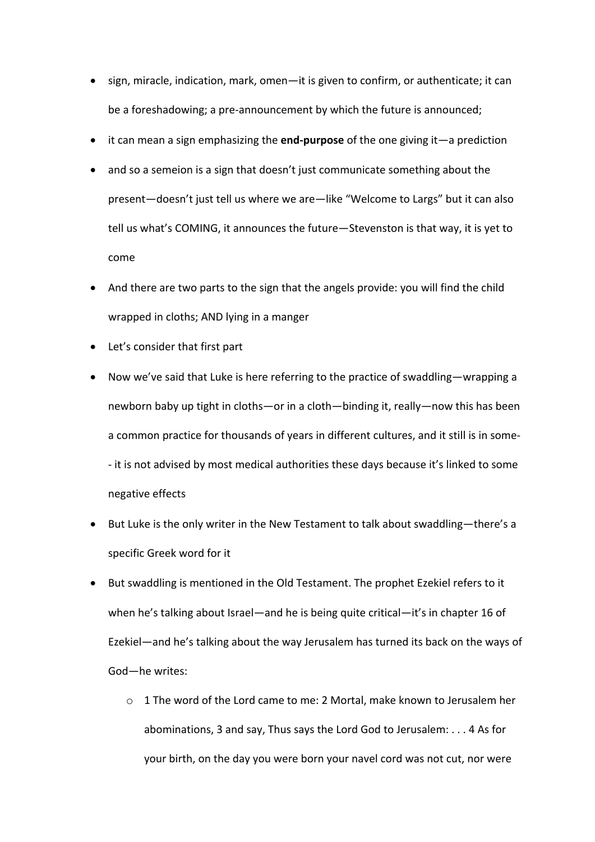- sign, miracle, indication, mark, omen—it is given to confirm, or authenticate; it can be a foreshadowing; a pre-announcement by which the future is announced;
- it can mean a sign emphasizing the **end-purpose** of the one giving it—a prediction
- and so a semeion is a sign that doesn't just communicate something about the present—doesn't just tell us where we are—like "Welcome to Largs" but it can also tell us what's COMING, it announces the future—Stevenston is that way, it is yet to come
- And there are two parts to the sign that the angels provide: you will find the child wrapped in cloths; AND lying in a manger
- Let's consider that first part
- Now we've said that Luke is here referring to the practice of swaddling—wrapping a newborn baby up tight in cloths—or in a cloth—binding it, really—now this has been a common practice for thousands of years in different cultures, and it still is in some- - it is not advised by most medical authorities these days because it's linked to some negative effects
- But Luke is the only writer in the New Testament to talk about swaddling—there's a specific Greek word for it
- But swaddling is mentioned in the Old Testament. The prophet Ezekiel refers to it when he's talking about Israel—and he is being quite critical—it's in chapter 16 of Ezekiel—and he's talking about the way Jerusalem has turned its back on the ways of God—he writes:
	- $\circ$  1 The word of the Lord came to me: 2 Mortal, make known to Jerusalem her abominations, 3 and say, Thus says the Lord God to Jerusalem: . . . 4 As for your birth, on the day you were born your navel cord was not cut, nor were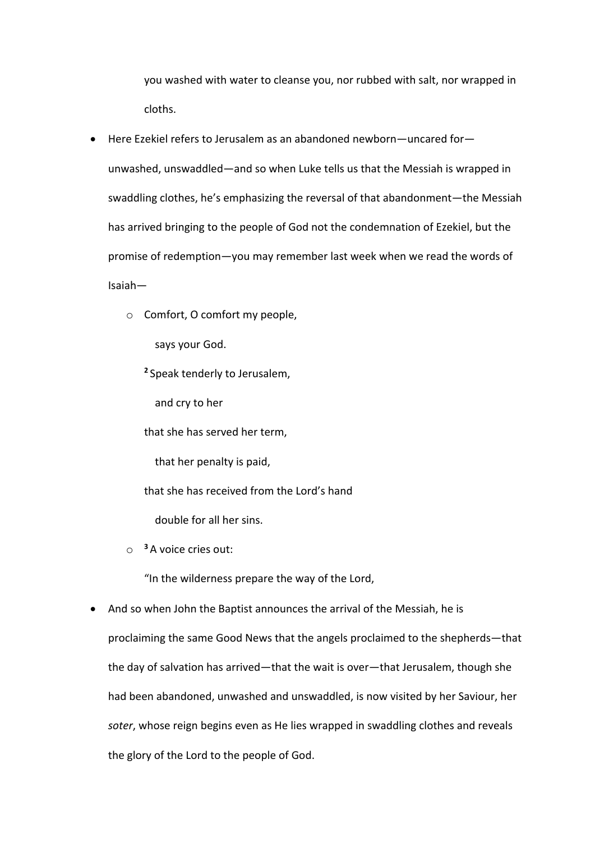you washed with water to cleanse you, nor rubbed with salt, nor wrapped in cloths.

- Here Ezekiel refers to Jerusalem as an abandoned newborn—uncared for unwashed, unswaddled—and so when Luke tells us that the Messiah is wrapped in swaddling clothes, he's emphasizing the reversal of that abandonment—the Messiah has arrived bringing to the people of God not the condemnation of Ezekiel, but the promise of redemption—you may remember last week when we read the words of Isaiah
	- o Comfort, O comfort my people,

says your God.

**<sup>2</sup>** Speak tenderly to Jerusalem,

and cry to her

that she has served her term,

that her penalty is paid,

that she has received from the Lord's hand

double for all her sins.

o **<sup>3</sup>** A voice cries out:

"In the wilderness prepare the way of the Lord,

• And so when John the Baptist announces the arrival of the Messiah, he is proclaiming the same Good News that the angels proclaimed to the shepherds—that the day of salvation has arrived—that the wait is over—that Jerusalem, though she had been abandoned, unwashed and unswaddled, is now visited by her Saviour, her *soter*, whose reign begins even as He lies wrapped in swaddling clothes and reveals the glory of the Lord to the people of God.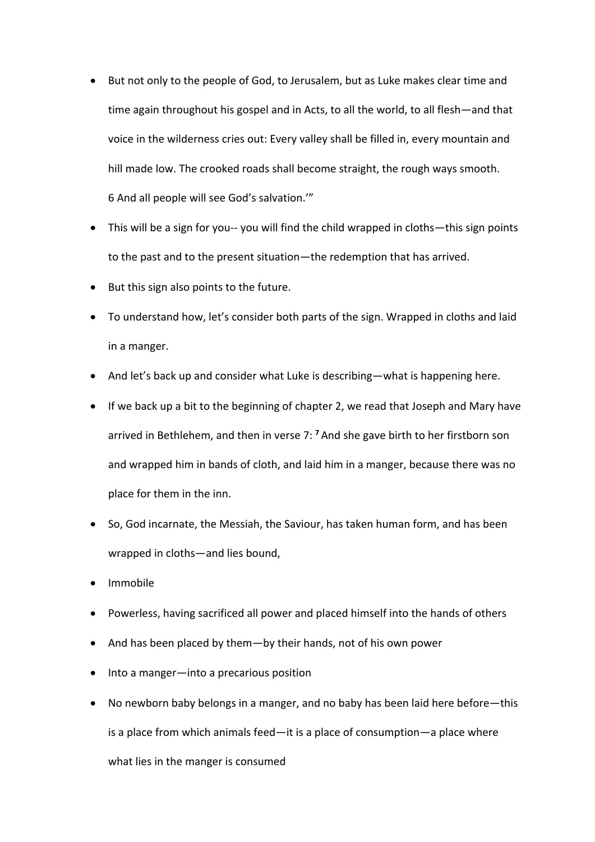- But not only to the people of God, to Jerusalem, but as Luke makes clear time and time again throughout his gospel and in Acts, to all the world, to all flesh—and that voice in the wilderness cries out: Every valley shall be filled in, every mountain and hill made low. The crooked roads shall become straight, the rough ways smooth. 6 And all people will see God's salvation.'"
- This will be a sign for you-- you will find the child wrapped in cloths—this sign points to the past and to the present situation—the redemption that has arrived.
- But this sign also points to the future.
- To understand how, let's consider both parts of the sign. Wrapped in cloths and laid in a manger.
- And let's back up and consider what Luke is describing—what is happening here.
- If we back up a bit to the beginning of chapter 2, we read that Joseph and Mary have arrived in Bethlehem, and then in verse 7: **<sup>7</sup>** And she gave birth to her firstborn son and wrapped him in bands of cloth, and laid him in a manger, because there was no place for them in the inn.
- So, God incarnate, the Messiah, the Saviour, has taken human form, and has been wrapped in cloths—and lies bound,
- Immobile
- Powerless, having sacrificed all power and placed himself into the hands of others
- And has been placed by them—by their hands, not of his own power
- Into a manger—into a precarious position
- No newborn baby belongs in a manger, and no baby has been laid here before—this is a place from which animals feed—it is a place of consumption—a place where what lies in the manger is consumed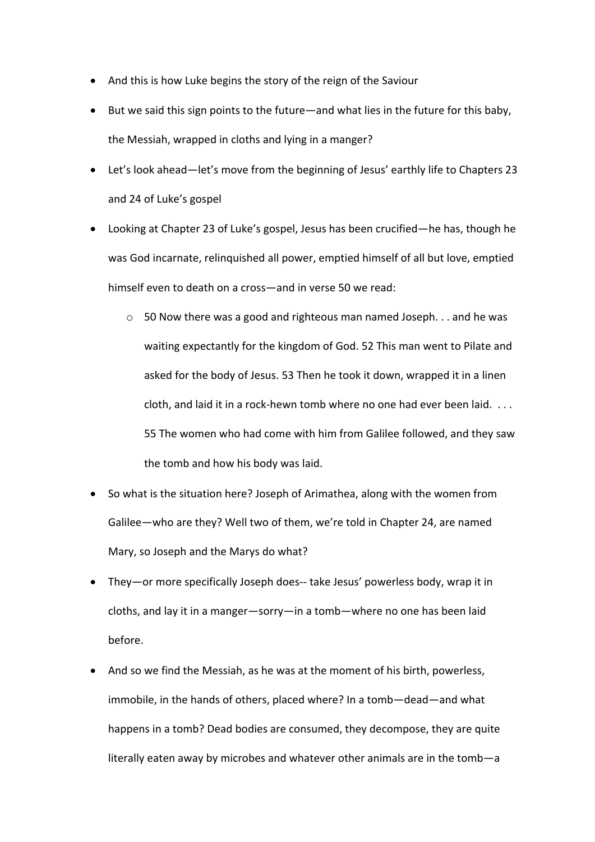- And this is how Luke begins the story of the reign of the Saviour
- But we said this sign points to the future—and what lies in the future for this baby, the Messiah, wrapped in cloths and lying in a manger?
- Let's look ahead—let's move from the beginning of Jesus' earthly life to Chapters 23 and 24 of Luke's gospel
- Looking at Chapter 23 of Luke's gospel, Jesus has been crucified—he has, though he was God incarnate, relinquished all power, emptied himself of all but love, emptied himself even to death on a cross—and in verse 50 we read:
	- $\circ$  50 Now there was a good and righteous man named Joseph... and he was waiting expectantly for the kingdom of God. 52 This man went to Pilate and asked for the body of Jesus. 53 Then he took it down, wrapped it in a linen cloth, and laid it in a rock-hewn tomb where no one had ever been laid. . . . 55 The women who had come with him from Galilee followed, and they saw the tomb and how his body was laid.
- So what is the situation here? Joseph of Arimathea, along with the women from Galilee—who are they? Well two of them, we're told in Chapter 24, are named Mary, so Joseph and the Marys do what?
- They—or more specifically Joseph does-- take Jesus' powerless body, wrap it in cloths, and lay it in a manger—sorry—in a tomb—where no one has been laid before.
- And so we find the Messiah, as he was at the moment of his birth, powerless, immobile, in the hands of others, placed where? In a tomb—dead—and what happens in a tomb? Dead bodies are consumed, they decompose, they are quite literally eaten away by microbes and whatever other animals are in the tomb—a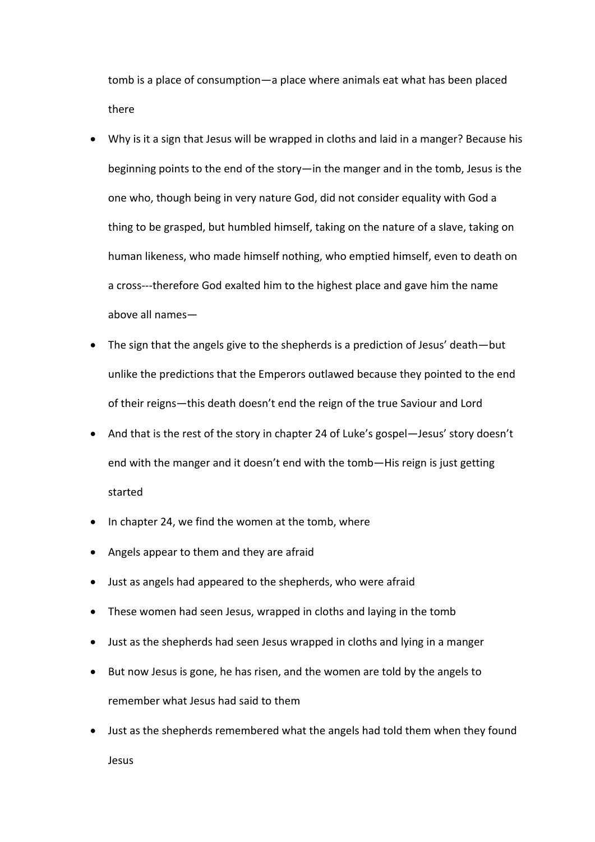tomb is a place of consumption—a place where animals eat what has been placed there

- Why is it a sign that Jesus will be wrapped in cloths and laid in a manger? Because his beginning points to the end of the story—in the manger and in the tomb, Jesus is the one who, though being in very nature God, did not consider equality with God a thing to be grasped, but humbled himself, taking on the nature of a slave, taking on human likeness, who made himself nothing, who emptied himself, even to death on a cross---therefore God exalted him to the highest place and gave him the name above all names—
- The sign that the angels give to the shepherds is a prediction of Jesus' death—but unlike the predictions that the Emperors outlawed because they pointed to the end of their reigns—this death doesn't end the reign of the true Saviour and Lord
- And that is the rest of the story in chapter 24 of Luke's gospel—Jesus' story doesn't end with the manger and it doesn't end with the tomb—His reign is just getting started
- In chapter 24, we find the women at the tomb, where
- Angels appear to them and they are afraid
- Just as angels had appeared to the shepherds, who were afraid
- These women had seen Jesus, wrapped in cloths and laying in the tomb
- Just as the shepherds had seen Jesus wrapped in cloths and lying in a manger
- But now Jesus is gone, he has risen, and the women are told by the angels to remember what Jesus had said to them
- Just as the shepherds remembered what the angels had told them when they found Jesus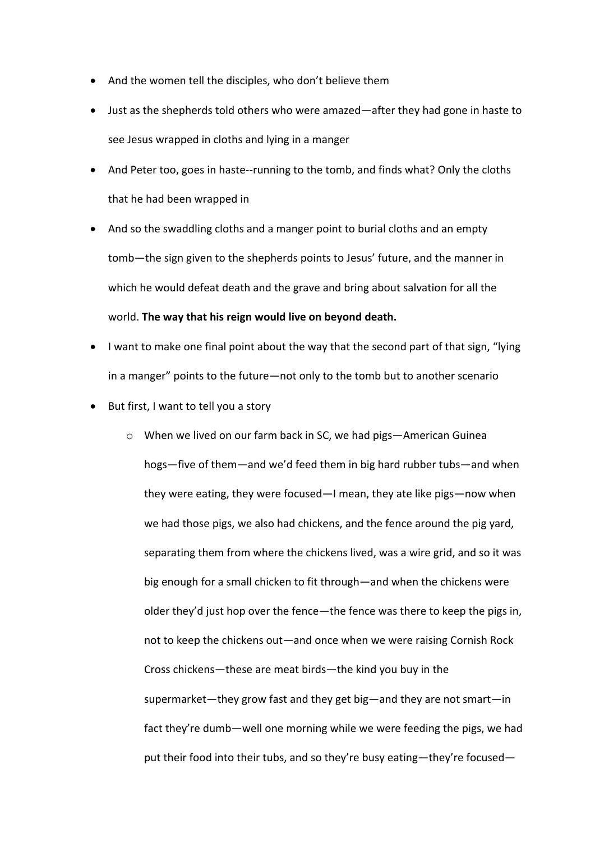- And the women tell the disciples, who don't believe them
- Just as the shepherds told others who were amazed—after they had gone in haste to see Jesus wrapped in cloths and lying in a manger
- And Peter too, goes in haste--running to the tomb, and finds what? Only the cloths that he had been wrapped in
- And so the swaddling cloths and a manger point to burial cloths and an empty tomb—the sign given to the shepherds points to Jesus' future, and the manner in which he would defeat death and the grave and bring about salvation for all the world. **The way that his reign would live on beyond death.**
- I want to make one final point about the way that the second part of that sign, "lying in a manger" points to the future—not only to the tomb but to another scenario
- But first, I want to tell you a story
	- o When we lived on our farm back in SC, we had pigs—American Guinea hogs—five of them—and we'd feed them in big hard rubber tubs—and when they were eating, they were focused—I mean, they ate like pigs—now when we had those pigs, we also had chickens, and the fence around the pig yard, separating them from where the chickens lived, was a wire grid, and so it was big enough for a small chicken to fit through—and when the chickens were older they'd just hop over the fence—the fence was there to keep the pigs in, not to keep the chickens out—and once when we were raising Cornish Rock Cross chickens—these are meat birds—the kind you buy in the supermarket—they grow fast and they get big—and they are not smart—in fact they're dumb—well one morning while we were feeding the pigs, we had put their food into their tubs, and so they're busy eating—they're focused—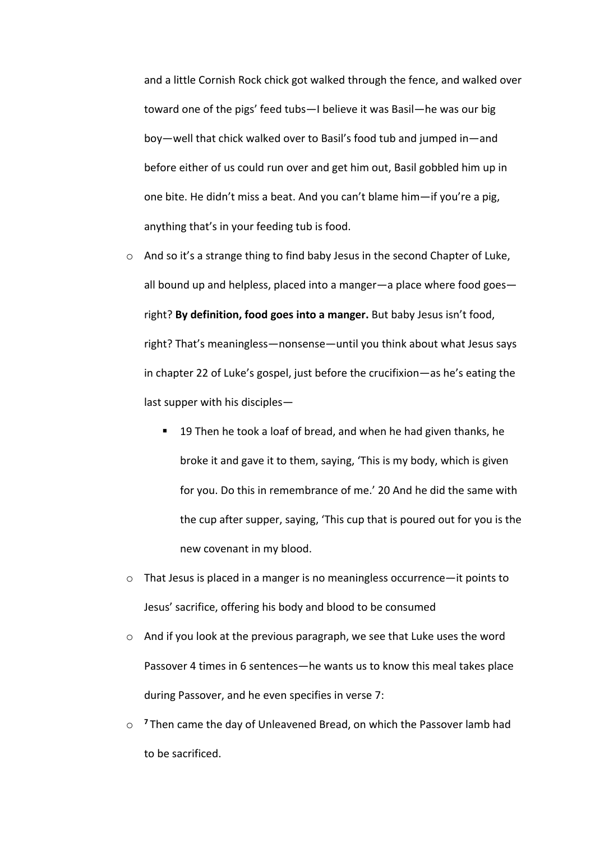and a little Cornish Rock chick got walked through the fence, and walked over toward one of the pigs' feed tubs—I believe it was Basil—he was our big boy—well that chick walked over to Basil's food tub and jumped in—and before either of us could run over and get him out, Basil gobbled him up in one bite. He didn't miss a beat. And you can't blame him—if you're a pig, anything that's in your feeding tub is food.

- o And so it's a strange thing to find baby Jesus in the second Chapter of Luke, all bound up and helpless, placed into a manger—a place where food goes right? **By definition, food goes into a manger.** But baby Jesus isn't food, right? That's meaningless—nonsense—until you think about what Jesus says in chapter 22 of Luke's gospel, just before the crucifixion—as he's eating the last supper with his disciples—
	- 19 Then he took a loaf of bread, and when he had given thanks, he broke it and gave it to them, saying, 'This is my body, which is given for you. Do this in remembrance of me.' 20 And he did the same with the cup after supper, saying, 'This cup that is poured out for you is the new covenant in my blood.
- $\circ$  That Jesus is placed in a manger is no meaningless occurrence—it points to Jesus' sacrifice, offering his body and blood to be consumed
- $\circ$  And if you look at the previous paragraph, we see that Luke uses the word Passover 4 times in 6 sentences—he wants us to know this meal takes place during Passover, and he even specifies in verse 7:
- o **<sup>7</sup>** Then came the day of Unleavened Bread, on which the Passover lamb had to be sacrificed.